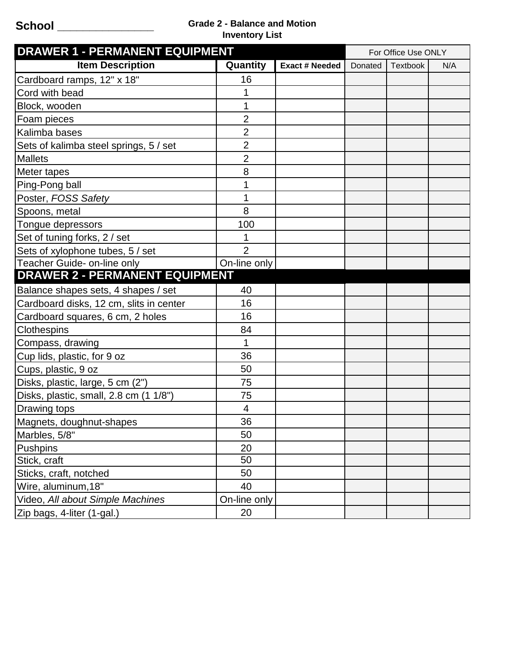## **School \_\_\_\_\_\_\_\_\_\_\_\_\_\_\_ Grade 2 - Balance and Motion Inventory List**

| <b>DRAWER 1 - PERMANENT EQUIPMENT</b>   |                |                       | For Office Use ONLY |          |     |
|-----------------------------------------|----------------|-----------------------|---------------------|----------|-----|
| <b>Item Description</b>                 | Quantity       | <b>Exact # Needed</b> | Donated             | Textbook | N/A |
| Cardboard ramps, 12" x 18"              | 16             |                       |                     |          |     |
| Cord with bead                          | 1              |                       |                     |          |     |
| Block, wooden                           | 1              |                       |                     |          |     |
| Foam pieces                             | $\overline{2}$ |                       |                     |          |     |
| Kalimba bases                           | $\overline{2}$ |                       |                     |          |     |
| Sets of kalimba steel springs, 5 / set  | $\overline{2}$ |                       |                     |          |     |
| <b>Mallets</b>                          | $\overline{2}$ |                       |                     |          |     |
| Meter tapes                             | 8              |                       |                     |          |     |
| Ping-Pong ball                          | 1              |                       |                     |          |     |
| Poster, FOSS Safety                     | 1              |                       |                     |          |     |
| Spoons, metal                           | 8              |                       |                     |          |     |
| Tongue depressors                       | 100            |                       |                     |          |     |
| Set of tuning forks, 2 / set            | 1              |                       |                     |          |     |
| Sets of xylophone tubes, 5 / set        | $\overline{2}$ |                       |                     |          |     |
| Teacher Guide- on-line only             | On-line only   |                       |                     |          |     |
| <b>DRAWER 2 - PERMANENT EQUIPMENT</b>   |                |                       |                     |          |     |
| Balance shapes sets, 4 shapes / set     | 40             |                       |                     |          |     |
| Cardboard disks, 12 cm, slits in center | 16             |                       |                     |          |     |
| Cardboard squares, 6 cm, 2 holes        | 16             |                       |                     |          |     |
| Clothespins                             | 84             |                       |                     |          |     |
| Compass, drawing                        | 1              |                       |                     |          |     |
| Cup lids, plastic, for 9 oz             | 36             |                       |                     |          |     |
| Cups, plastic, 9 oz                     | 50             |                       |                     |          |     |
| Disks, plastic, large, 5 cm (2")        | 75             |                       |                     |          |     |
| Disks, plastic, small, 2.8 cm (1 1/8")  | 75             |                       |                     |          |     |
| Drawing tops                            | 4              |                       |                     |          |     |
| Magnets, doughnut-shapes                | 36             |                       |                     |          |     |
| Marbles, 5/8"                           | 50             |                       |                     |          |     |
| <b>Pushpins</b>                         | 20             |                       |                     |          |     |
| Stick, craft                            | 50             |                       |                     |          |     |
| Sticks, craft, notched                  | 50             |                       |                     |          |     |
| Wire, aluminum, 18"                     | 40             |                       |                     |          |     |
| Video, All about Simple Machines        | On-line only   |                       |                     |          |     |
| Zip bags, 4-liter (1-gal.)              | 20             |                       |                     |          |     |